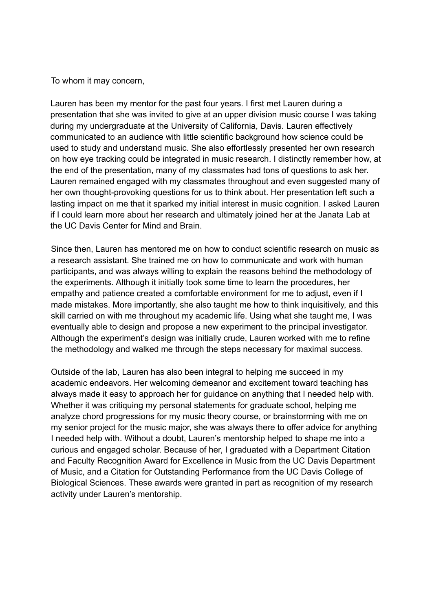To whom it may concern,

Lauren has been my mentor for the past four years. I first met Lauren during a presentation that she was invited to give at an upper division music course I was taking during my undergraduate at the University of California, Davis. Lauren effectively communicated to an audience with little scientific background how science could be used to study and understand music. She also effortlessly presented her own research on how eye tracking could be integrated in music research. I distinctly remember how, at the end of the presentation, many of my classmates had tons of questions to ask her. Lauren remained engaged with my classmates throughout and even suggested many of her own thought-provoking questions for us to think about. Her presentation left such a lasting impact on me that it sparked my initial interest in music cognition. I asked Lauren if I could learn more about her research and ultimately joined her at the Janata Lab at the UC Davis Center for Mind and Brain.

Since then, Lauren has mentored me on how to conduct scientific research on music as a research assistant. She trained me on how to communicate and work with human participants, and was always willing to explain the reasons behind the methodology of the experiments. Although it initially took some time to learn the procedures, her empathy and patience created a comfortable environment for me to adjust, even if I made mistakes. More importantly, she also taught me how to think inquisitively, and this skill carried on with me throughout my academic life. Using what she taught me, I was eventually able to design and propose a new experiment to the principal investigator. Although the experiment's design was initially crude, Lauren worked with me to refine the methodology and walked me through the steps necessary for maximal success.

Outside of the lab, Lauren has also been integral to helping me succeed in my academic endeavors. Her welcoming demeanor and excitement toward teaching has always made it easy to approach her for guidance on anything that I needed help with. Whether it was critiquing my personal statements for graduate school, helping me analyze chord progressions for my music theory course, or brainstorming with me on my senior project for the music major, she was always there to offer advice for anything I needed help with. Without a doubt, Lauren's mentorship helped to shape me into a curious and engaged scholar. Because of her, I graduated with a Department Citation and Faculty Recognition Award for Excellence in Music from the UC Davis Department of Music, and a Citation for Outstanding Performance from the UC Davis College of Biological Sciences. These awards were granted in part as recognition of my research activity under Lauren's mentorship.